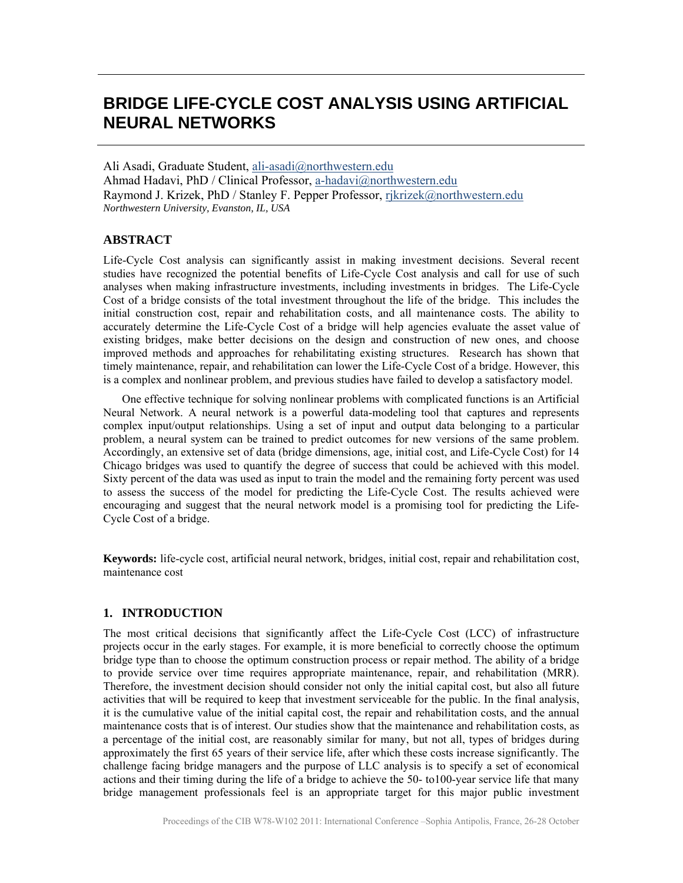# **BRIDGE LIFE-CYCLE COST ANALYSIS USING ARTIFICIAL NEURAL NETWORKS**

Ali Asadi, Graduate Student, ali-asadi@northwestern.edu Ahmad Hadavi, PhD / Clinical Professor, a-hadavi@northwestern.edu Raymond J. Krizek, PhD / Stanley F. Pepper Professor, rjkrizek@northwestern.edu *Northwestern University, Evanston, IL, USA* 

# **ABSTRACT**

Life-Cycle Cost analysis can significantly assist in making investment decisions. Several recent studies have recognized the potential benefits of Life-Cycle Cost analysis and call for use of such analyses when making infrastructure investments, including investments in bridges. The Life-Cycle Cost of a bridge consists of the total investment throughout the life of the bridge. This includes the initial construction cost, repair and rehabilitation costs, and all maintenance costs. The ability to accurately determine the Life-Cycle Cost of a bridge will help agencies evaluate the asset value of existing bridges, make better decisions on the design and construction of new ones, and choose improved methods and approaches for rehabilitating existing structures. Research has shown that timely maintenance, repair, and rehabilitation can lower the Life-Cycle Cost of a bridge. However, this is a complex and nonlinear problem, and previous studies have failed to develop a satisfactory model.

 One effective technique for solving nonlinear problems with complicated functions is an Artificial Neural Network. A neural network is a powerful data-modeling tool that captures and represents complex input/output relationships. Using a set of input and output data belonging to a particular problem, a neural system can be trained to predict outcomes for new versions of the same problem. Accordingly, an extensive set of data (bridge dimensions, age, initial cost, and Life-Cycle Cost) for 14 Chicago bridges was used to quantify the degree of success that could be achieved with this model. Sixty percent of the data was used as input to train the model and the remaining forty percent was used to assess the success of the model for predicting the Life-Cycle Cost. The results achieved were encouraging and suggest that the neural network model is a promising tool for predicting the Life-Cycle Cost of a bridge.

**Keywords:** life-cycle cost, artificial neural network, bridges, initial cost, repair and rehabilitation cost, maintenance cost

# **1. INTRODUCTION**

The most critical decisions that significantly affect the Life-Cycle Cost (LCC) of infrastructure projects occur in the early stages. For example, it is more beneficial to correctly choose the optimum bridge type than to choose the optimum construction process or repair method. The ability of a bridge to provide service over time requires appropriate maintenance, repair, and rehabilitation (MRR). Therefore, the investment decision should consider not only the initial capital cost, but also all future activities that will be required to keep that investment serviceable for the public. In the final analysis, it is the cumulative value of the initial capital cost, the repair and rehabilitation costs, and the annual maintenance costs that is of interest. Our studies show that the maintenance and rehabilitation costs, as a percentage of the initial cost, are reasonably similar for many, but not all, types of bridges during approximately the first 65 years of their service life, after which these costs increase significantly. The challenge facing bridge managers and the purpose of LLC analysis is to specify a set of economical actions and their timing during the life of a bridge to achieve the 50- to100-year service life that many bridge management professionals feel is an appropriate target for this major public investment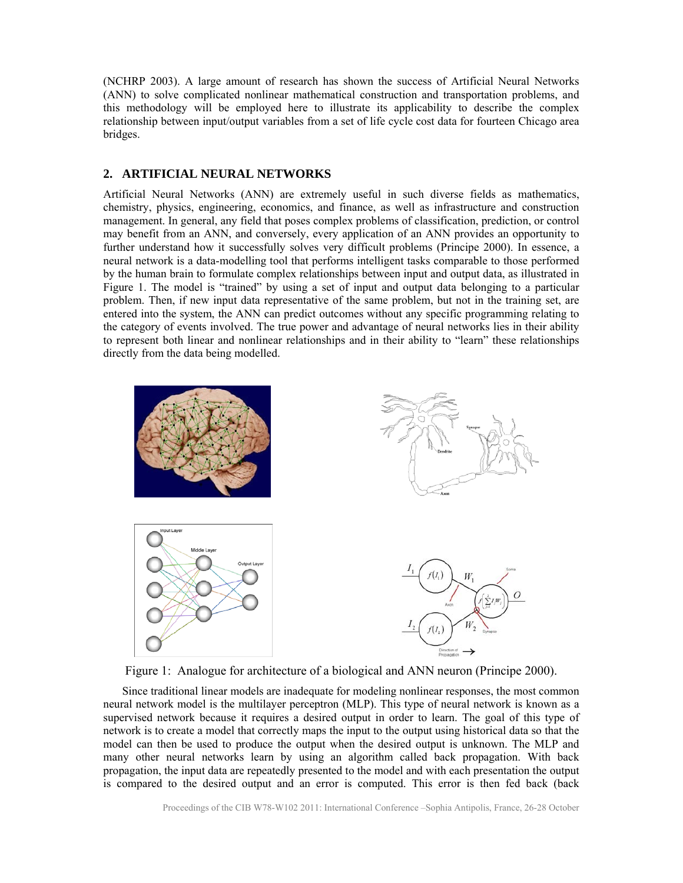(NCHRP 2003). A large amount of research has shown the success of Artificial Neural Networks (ANN) to solve complicated nonlinear mathematical construction and transportation problems, and this methodology will be employed here to illustrate its applicability to describe the complex relationship between input/output variables from a set of life cycle cost data for fourteen Chicago area bridges.

#### **2. ARTIFICIAL NEURAL NETWORKS**

Artificial Neural Networks (ANN) are extremely useful in such diverse fields as mathematics, chemistry, physics, engineering, economics, and finance, as well as infrastructure and construction management. In general, any field that poses complex problems of classification, prediction, or control may benefit from an ANN, and conversely, every application of an ANN provides an opportunity to further understand how it successfully solves very difficult problems (Principe 2000). In essence, a neural network is a data-modelling tool that performs intelligent tasks comparable to those performed by the human brain to formulate complex relationships between input and output data, as illustrated in Figure 1. The model is "trained" by using a set of input and output data belonging to a particular problem. Then, if new input data representative of the same problem, but not in the training set, are entered into the system, the ANN can predict outcomes without any specific programming relating to the category of events involved. The true power and advantage of neural networks lies in their ability to represent both linear and nonlinear relationships and in their ability to "learn" these relationships directly from the data being modelled.



Figure 1: Analogue for architecture of a biological and ANN neuron (Principe 2000).

 Since traditional linear models are inadequate for modeling nonlinear responses, the most common neural network model is the multilayer perceptron (MLP). This type of neural network is known as a supervised network because it requires a desired output in order to learn. The goal of this type of network is to create a model that correctly maps the input to the output using historical data so that the model can then be used to produce the output when the desired output is unknown. The MLP and many other neural networks learn by using an algorithm called back propagation. With back propagation, the input data are repeatedly presented to the model and with each presentation the output is compared to the desired output and an error is computed. This error is then fed back (back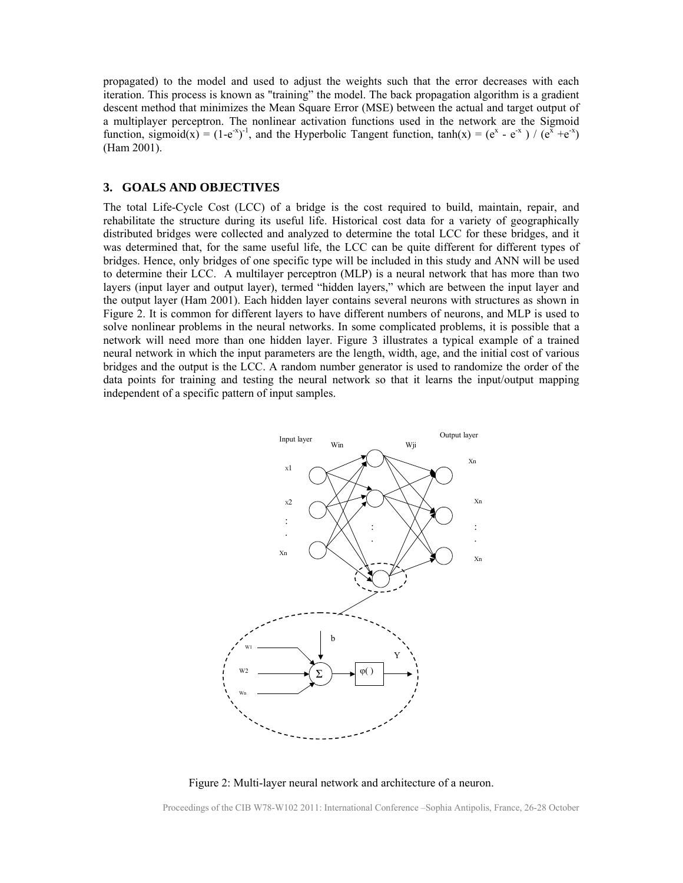propagated) to the model and used to adjust the weights such that the error decreases with each iteration. This process is known as "training" the model. The back propagation algorithm is a gradient descent method that minimizes the Mean Square Error (MSE) between the actual and target output of a multiplayer perceptron. The nonlinear activation functions used in the network are the Sigmoid function, sigmoid(x) =  $(1-e^{x})^{-1}$ , and the Hyperbolic Tangent function,  $tanh(x) = (e^{x} - e^{-x}) / (e^{x} + e^{-x})$ (Ham 2001).

#### **3. GOALS AND OBJECTIVES**

The total Life-Cycle Cost (LCC) of a bridge is the cost required to build, maintain, repair, and rehabilitate the structure during its useful life. Historical cost data for a variety of geographically distributed bridges were collected and analyzed to determine the total LCC for these bridges, and it was determined that, for the same useful life, the LCC can be quite different for different types of bridges. Hence, only bridges of one specific type will be included in this study and ANN will be used to determine their LCC. A multilayer perceptron (MLP) is a neural network that has more than two layers (input layer and output layer), termed "hidden layers," which are between the input layer and the output layer (Ham 2001). Each hidden layer contains several neurons with structures as shown in Figure 2. It is common for different layers to have different numbers of neurons, and MLP is used to solve nonlinear problems in the neural networks. In some complicated problems, it is possible that a network will need more than one hidden layer. Figure 3 illustrates a typical example of a trained neural network in which the input parameters are the length, width, age, and the initial cost of various bridges and the output is the LCC. A random number generator is used to randomize the order of the data points for training and testing the neural network so that it learns the input/output mapping independent of a specific pattern of input samples.



Figure 2: Multi-layer neural network and architecture of a neuron.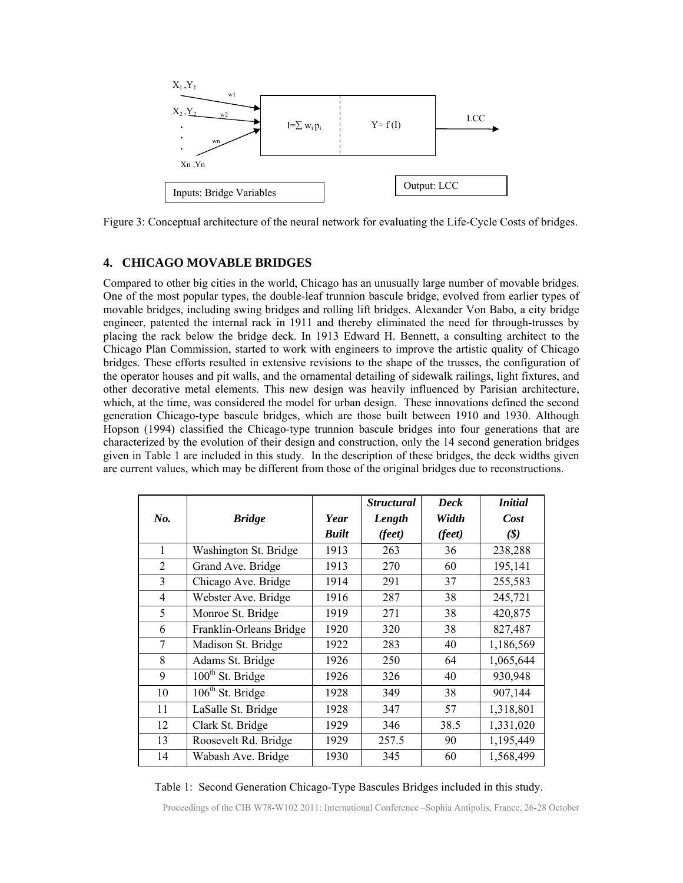

Figure 3: Conceptual architecture of the neural network for evaluating the Life-Cycle Costs of bridges.

#### **4. CHICAGO MOVABLE BRIDGES**

Compared to other big cities in the world, Chicago has an unusually large number of movable bridges. One of the most popular types, the double-leaf trunnion bascule bridge, evolved from earlier types of movable bridges, including swing bridges and rolling lift bridges. Alexander Von Babo, a city bridge engineer, patented the internal rack in 1911 and thereby eliminated the need for through-trusses by placing the rack below the bridge deck. In 1913 Edward H. Bennett, a consulting architect to the Chicago Plan Commission, started to work with engineers to improve the artistic quality of Chicago bridges. These efforts resulted in extensive revisions to the shape of the trusses, the configuration of the operator houses and pit walls, and the ornamental detailing of sidewalk railings, light fixtures, and other decorative metal elements. This new design was heavily influenced by Parisian architecture, which, at the time, was considered the model for urban design. These innovations defined the second generation Chicago-type bascule bridges, which are those built between 1910 and 1930. Although Hopson (1994) classified the Chicago-type trunnion bascule bridges into four generations that are characterized by the evolution of their design and construction, only the 14 second generation bridges given in Table 1 are included in this study. In the description of these bridges, the deck widths given are current values, which may be different from those of the original bridges due to reconstructions.

|                |                              |              | <b>Structural</b> | <b>Deck</b> | <i>Initial</i>               |
|----------------|------------------------------|--------------|-------------------|-------------|------------------------------|
| No.            | <b>Bridge</b>                | Year         | Length            | Width       | Cost                         |
|                |                              | <b>Built</b> | (feet)            | (feet)      | $(\boldsymbol{\mathcal{S}})$ |
| 1              | Washington St. Bridge        | 1913         | 263               | 36          | 238,288                      |
| 2              | Grand Ave. Bridge            | 1913         | 270               | 60          | 195,141                      |
| 3              | Chicago Ave. Bridge          | 1914         | 291               | 37          | 255,583                      |
| $\overline{4}$ | Webster Ave. Bridge          | 1916         | 287               | 38          | 245,721                      |
| 5              | Monroe St. Bridge            | 1919         | 271               | 38          | 420,875                      |
| 6              | Franklin-Orleans Bridge      | 1920         | 320               | 38          | 827,487                      |
| $\overline{7}$ | Madison St. Bridge           | 1922         | 283               | 40          | 1,186,569                    |
| 8              | Adams St. Bridge             | 1926         | 250               | 64          | 1,065,644                    |
| 9              | 100 <sup>th</sup> St. Bridge | 1926         | 326               | 40          | 930,948                      |
| 10             | 106 <sup>th</sup> St. Bridge | 1928         | 349               | 38          | 907,144                      |
| 11             | LaSalle St. Bridge           | 1928         | 347               | 57          | 1,318,801                    |
| 12             | Clark St. Bridge             | 1929         | 346               | 38.5        | 1,331,020                    |
| 13             | Roosevelt Rd. Bridge         | 1929         | 257.5             | 90          | 1,195,449                    |
| 14             | Wabash Ave. Bridge           | 1930         | 345               | 60          | 1,568,499                    |

Table 1: Second Generation Chicago-Type Bascules Bridges included in this study.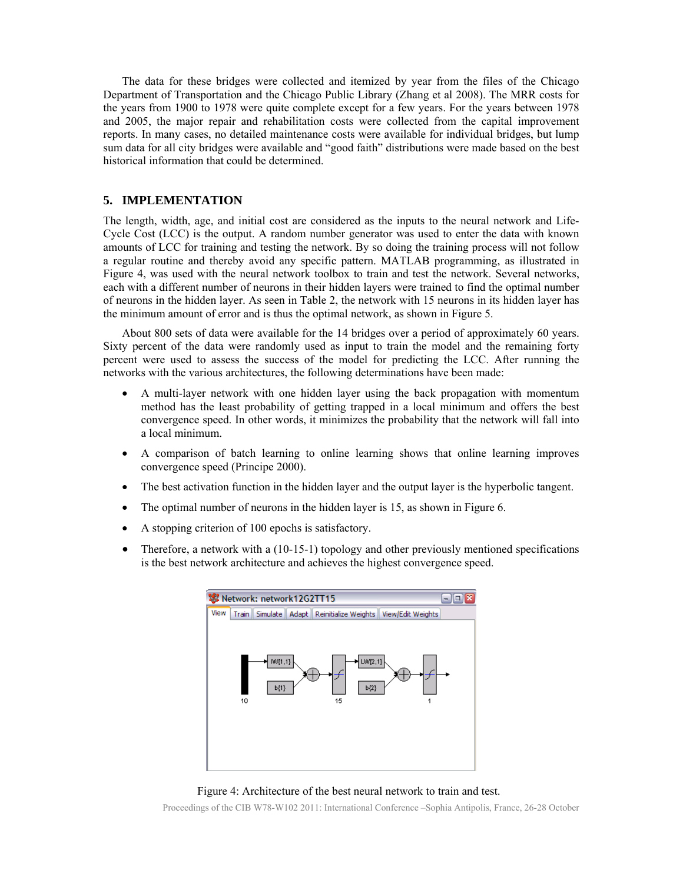The data for these bridges were collected and itemized by year from the files of the Chicago Department of Transportation and the Chicago Public Library (Zhang et al 2008). The MRR costs for the years from 1900 to 1978 were quite complete except for a few years. For the years between 1978 and 2005, the major repair and rehabilitation costs were collected from the capital improvement reports. In many cases, no detailed maintenance costs were available for individual bridges, but lump sum data for all city bridges were available and "good faith" distributions were made based on the best historical information that could be determined.

#### **5. IMPLEMENTATION**

The length, width, age, and initial cost are considered as the inputs to the neural network and Life-Cycle Cost (LCC) is the output. A random number generator was used to enter the data with known amounts of LCC for training and testing the network. By so doing the training process will not follow a regular routine and thereby avoid any specific pattern. MATLAB programming, as illustrated in Figure 4, was used with the neural network toolbox to train and test the network. Several networks, each with a different number of neurons in their hidden layers were trained to find the optimal number of neurons in the hidden layer. As seen in Table 2, the network with 15 neurons in its hidden layer has the minimum amount of error and is thus the optimal network, as shown in Figure 5.

 About 800 sets of data were available for the 14 bridges over a period of approximately 60 years. Sixty percent of the data were randomly used as input to train the model and the remaining forty percent were used to assess the success of the model for predicting the LCC. After running the networks with the various architectures, the following determinations have been made:

- A multi-layer network with one hidden layer using the back propagation with momentum method has the least probability of getting trapped in a local minimum and offers the best convergence speed. In other words, it minimizes the probability that the network will fall into a local minimum.
- A comparison of batch learning to online learning shows that online learning improves convergence speed (Principe 2000).
- The best activation function in the hidden layer and the output layer is the hyperbolic tangent.
- The optimal number of neurons in the hidden layer is 15, as shown in Figure 6.
- A stopping criterion of 100 epochs is satisfactory.
- $\bullet$  Therefore, a network with a (10-15-1) topology and other previously mentioned specifications is the best network architecture and achieves the highest convergence speed.



Figure 4: Architecture of the best neural network to train and test.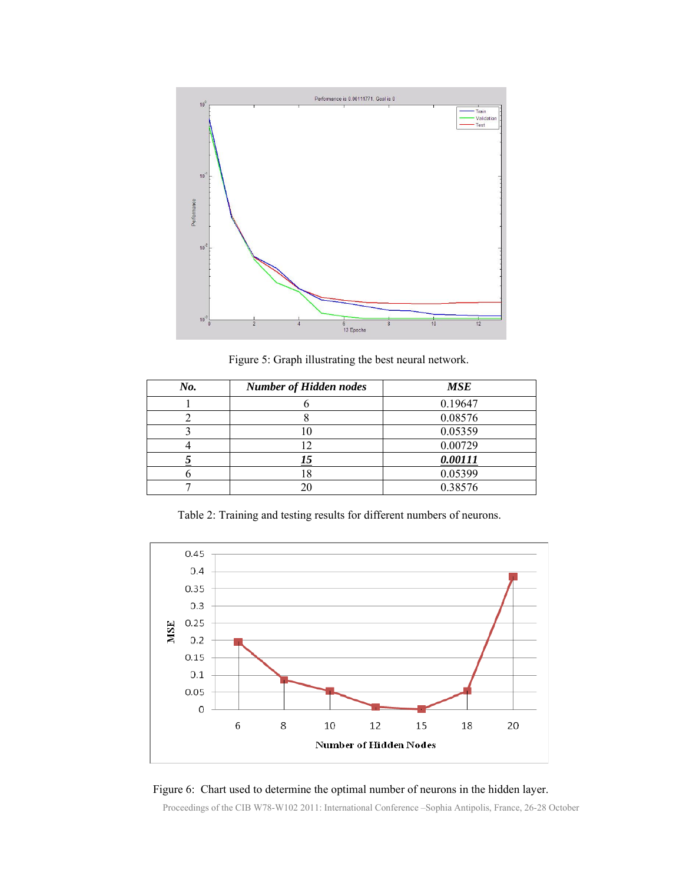

Figure 5: Graph illustrating the best neural network.

| No. | <b>Number of Hidden nodes</b> | <b>MSE</b> |
|-----|-------------------------------|------------|
|     |                               | 0.19647    |
|     |                               | 0.08576    |
|     |                               | 0.05359    |
|     |                               | 0.00729    |
|     | <u>I5</u>                     | 0.00111    |
|     |                               | 0.05399    |
|     |                               | 0.38576    |

Table 2: Training and testing results for different numbers of neurons.